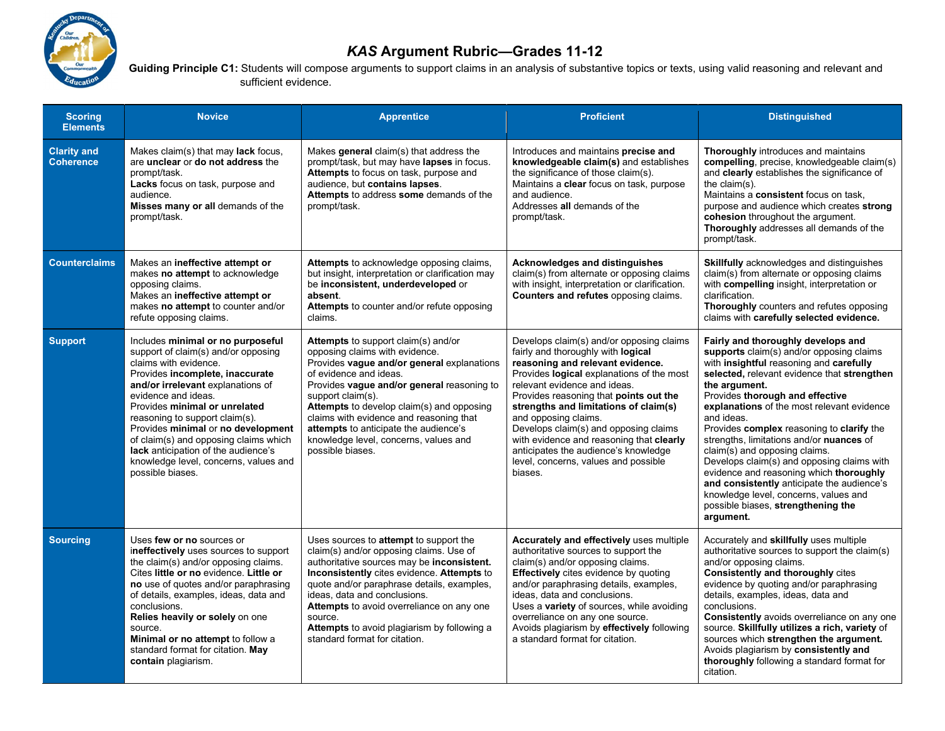

## KAS Argument Rubric—Grades 11-12

Guiding Principle C1: Students will compose arguments to support claims in an analysis of substantive topics or texts, using valid reasoning and relevant and sufficient evidence.

| <b>Scoring</b><br><b>Elements</b>      | <b>Novice</b>                                                                                                                                                                                                                                                                                                                                                                                                                                          | <b>Apprentice</b>                                                                                                                                                                                                                                                                                                                                                                                              | <b>Proficient</b>                                                                                                                                                                                                                                                                                                                                                                                                                                                                          | <b>Distinguished</b>                                                                                                                                                                                                                                                                                                                                                                                                                                                                                                                                                                                                                                  |
|----------------------------------------|--------------------------------------------------------------------------------------------------------------------------------------------------------------------------------------------------------------------------------------------------------------------------------------------------------------------------------------------------------------------------------------------------------------------------------------------------------|----------------------------------------------------------------------------------------------------------------------------------------------------------------------------------------------------------------------------------------------------------------------------------------------------------------------------------------------------------------------------------------------------------------|--------------------------------------------------------------------------------------------------------------------------------------------------------------------------------------------------------------------------------------------------------------------------------------------------------------------------------------------------------------------------------------------------------------------------------------------------------------------------------------------|-------------------------------------------------------------------------------------------------------------------------------------------------------------------------------------------------------------------------------------------------------------------------------------------------------------------------------------------------------------------------------------------------------------------------------------------------------------------------------------------------------------------------------------------------------------------------------------------------------------------------------------------------------|
| <b>Clarity and</b><br><b>Coherence</b> | Makes claim(s) that may lack focus,<br>are unclear or do not address the<br>prompt/task.<br>Lacks focus on task, purpose and<br>audience.<br>Misses many or all demands of the<br>prompt/task.                                                                                                                                                                                                                                                         | Makes general claim(s) that address the<br>prompt/task, but may have lapses in focus.<br>Attempts to focus on task, purpose and<br>audience, but contains lapses.<br>Attempts to address some demands of the<br>prompt/task.                                                                                                                                                                                   | Introduces and maintains precise and<br>knowledgeable claim(s) and establishes<br>the significance of those claim(s).<br>Maintains a clear focus on task, purpose<br>and audience.<br>Addresses all demands of the<br>prompt/task.                                                                                                                                                                                                                                                         | <b>Thoroughly</b> introduces and maintains<br>compelling, precise, knowledgeable claim(s)<br>and clearly establishes the significance of<br>the claim(s).<br>Maintains a consistent focus on task,<br>purpose and audience which creates strong<br>cohesion throughout the argument.<br>Thoroughly addresses all demands of the<br>prompt/task.                                                                                                                                                                                                                                                                                                       |
| <b>Counterclaims</b>                   | Makes an ineffective attempt or<br>makes no attempt to acknowledge<br>opposing claims.<br>Makes an ineffective attempt or<br>makes no attempt to counter and/or<br>refute opposing claims.                                                                                                                                                                                                                                                             | Attempts to acknowledge opposing claims,<br>but insight, interpretation or clarification may<br>be inconsistent, underdeveloped or<br>absent.<br>Attempts to counter and/or refute opposing<br>claims.                                                                                                                                                                                                         | Acknowledges and distinguishes<br>claim(s) from alternate or opposing claims<br>with insight, interpretation or clarification.<br>Counters and refutes opposing claims.                                                                                                                                                                                                                                                                                                                    | <b>Skillfully</b> acknowledges and distinguishes<br>claim(s) from alternate or opposing claims<br>with compelling insight, interpretation or<br>clarification.<br>Thoroughly counters and refutes opposing<br>claims with carefully selected evidence.                                                                                                                                                                                                                                                                                                                                                                                                |
| <b>Support</b>                         | Includes minimal or no purposeful<br>support of claim(s) and/or opposing<br>claims with evidence.<br>Provides incomplete, inaccurate<br>and/or irrelevant explanations of<br>evidence and ideas.<br>Provides minimal or unrelated<br>reasoning to support claim(s).<br>Provides minimal or no development<br>of claim(s) and opposing claims which<br>lack anticipation of the audience's<br>knowledge level, concerns, values and<br>possible biases. | Attempts to support claim(s) and/or<br>opposing claims with evidence.<br>Provides vague and/or general explanations<br>of evidence and ideas.<br>Provides vague and/or general reasoning to<br>support claim(s).<br>Attempts to develop claim(s) and opposing<br>claims with evidence and reasoning that<br>attempts to anticipate the audience's<br>knowledge level, concerns, values and<br>possible biases. | Develops claim(s) and/or opposing claims<br>fairly and thoroughly with logical<br>reasoning and relevant evidence.<br>Provides logical explanations of the most<br>relevant evidence and ideas.<br>Provides reasoning that points out the<br>strengths and limitations of claim(s)<br>and opposing claims.<br>Develops claim(s) and opposing claims<br>with evidence and reasoning that clearly<br>anticipates the audience's knowledge<br>level, concerns, values and possible<br>biases. | Fairly and thoroughly develops and<br>supports claim(s) and/or opposing claims<br>with insightful reasoning and carefully<br>selected, relevant evidence that strengthen<br>the argument.<br>Provides thorough and effective<br>explanations of the most relevant evidence<br>and ideas.<br>Provides complex reasoning to clarify the<br>strengths, limitations and/or nuances of<br>claim(s) and opposing claims.<br>Develops claim(s) and opposing claims with<br>evidence and reasoning which thoroughly<br>and consistently anticipate the audience's<br>knowledge level, concerns, values and<br>possible biases, strengthening the<br>argument. |
| <b>Sourcing</b>                        | Uses few or no sources or<br>ineffectively uses sources to support<br>the claim(s) and/or opposing claims.<br>Cites little or no evidence. Little or<br>no use of quotes and/or paraphrasing<br>of details, examples, ideas, data and<br>conclusions.<br>Relies heavily or solely on one<br>source.<br>Minimal or no attempt to follow a<br>standard format for citation. May<br>contain plagiarism.                                                   | Uses sources to <b>attempt</b> to support the<br>claim(s) and/or opposing claims. Use of<br>authoritative sources may be inconsistent.<br>Inconsistently cites evidence. Attempts to<br>quote and/or paraphrase details, examples,<br>ideas, data and conclusions.<br>Attempts to avoid overreliance on any one<br>source.<br>Attempts to avoid plagiarism by following a<br>standard format for citation.     | Accurately and effectively uses multiple<br>authoritative sources to support the<br>claim(s) and/or opposing claims.<br><b>Effectively</b> cites evidence by quoting<br>and/or paraphrasing details, examples,<br>ideas, data and conclusions.<br>Uses a variety of sources, while avoiding<br>overreliance on any one source.<br>Avoids plagiarism by effectively following<br>a standard format for citation.                                                                            | Accurately and skillfully uses multiple<br>authoritative sources to support the claim(s)<br>and/or opposing claims.<br><b>Consistently and thoroughly cites</b><br>evidence by quoting and/or paraphrasing<br>details, examples, ideas, data and<br>conclusions.<br>Consistently avoids overreliance on any one<br>source. Skillfully utilizes a rich, variety of<br>sources which strengthen the argument.<br>Avoids plagiarism by consistently and<br>thoroughly following a standard format for<br>citation.                                                                                                                                       |